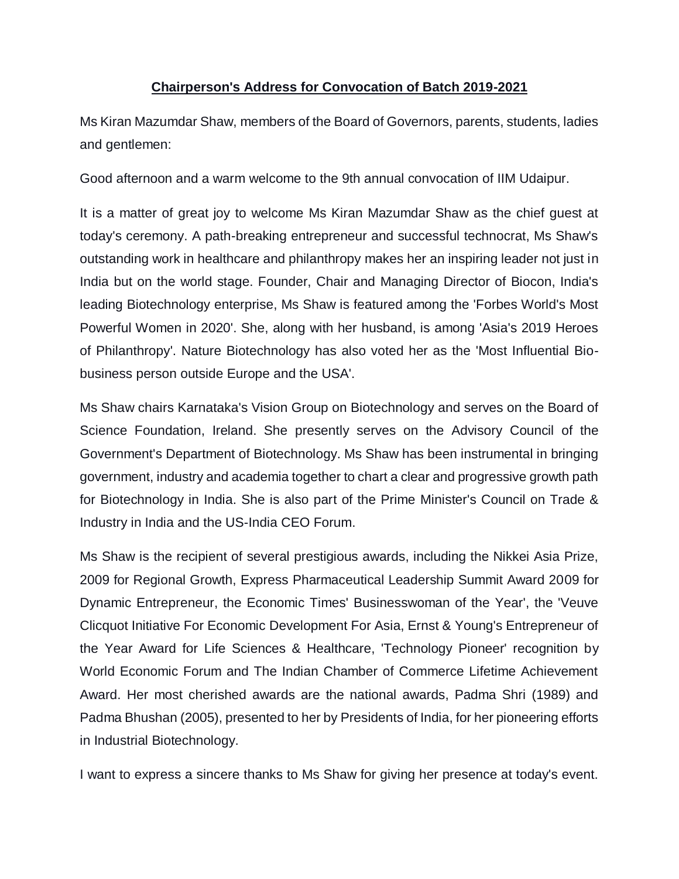## **Chairperson's Address for Convocation of Batch 2019-2021**

Ms Kiran Mazumdar Shaw, members of the Board of Governors, parents, students, ladies and gentlemen:

Good afternoon and a warm welcome to the 9th annual convocation of IIM Udaipur.

It is a matter of great joy to welcome Ms Kiran Mazumdar Shaw as the chief guest at today's ceremony. A path-breaking entrepreneur and successful technocrat, Ms Shaw's outstanding work in healthcare and philanthropy makes her an inspiring leader not just in India but on the world stage. Founder, Chair and Managing Director of Biocon, India's leading Biotechnology enterprise, Ms Shaw is featured among the 'Forbes World's Most Powerful Women in 2020'. She, along with her husband, is among 'Asia's 2019 Heroes of Philanthropy'. Nature Biotechnology has also voted her as the 'Most Influential Biobusiness person outside Europe and the USA'.

Ms Shaw chairs Karnataka's Vision Group on Biotechnology and serves on the Board of Science Foundation, Ireland. She presently serves on the Advisory Council of the Government's Department of Biotechnology. Ms Shaw has been instrumental in bringing government, industry and academia together to chart a clear and progressive growth path for Biotechnology in India. She is also part of the Prime Minister's Council on Trade & Industry in India and the US-India CEO Forum.

Ms Shaw is the recipient of several prestigious awards, including the Nikkei Asia Prize, 2009 for Regional Growth, Express Pharmaceutical Leadership Summit Award 2009 for Dynamic Entrepreneur, the Economic Times' Businesswoman of the Year', the 'Veuve Clicquot Initiative For Economic Development For Asia, Ernst & Young's Entrepreneur of the Year Award for Life Sciences & Healthcare, 'Technology Pioneer' recognition by World Economic Forum and The Indian Chamber of Commerce Lifetime Achievement Award. Her most cherished awards are the national awards, Padma Shri (1989) and Padma Bhushan (2005), presented to her by Presidents of India, for her pioneering efforts in Industrial Biotechnology.

I want to express a sincere thanks to Ms Shaw for giving her presence at today's event.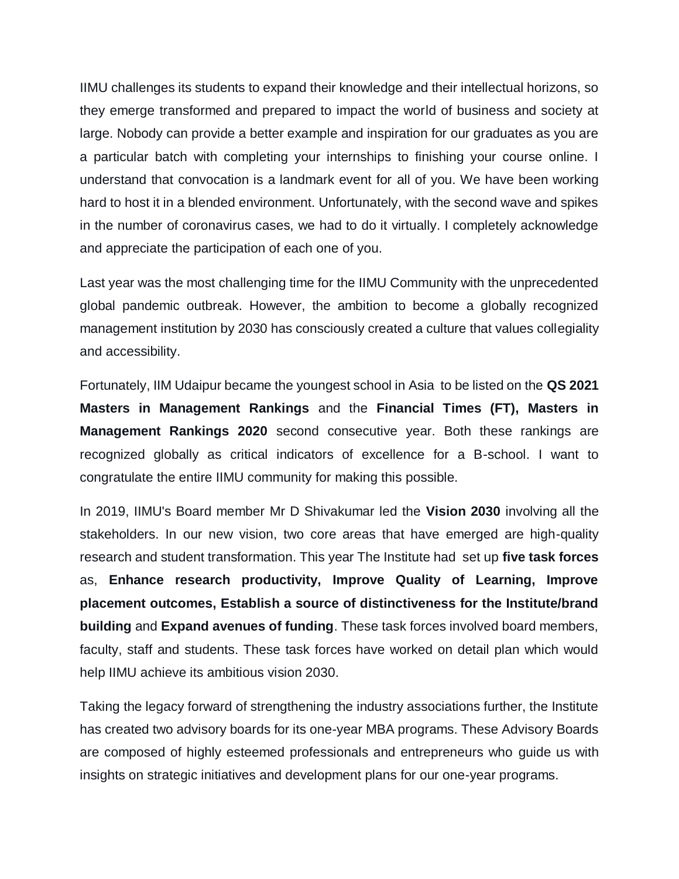IIMU challenges its students to expand their knowledge and their intellectual horizons, so they emerge transformed and prepared to impact the world of business and society at large. Nobody can provide a better example and inspiration for our graduates as you are a particular batch with completing your internships to finishing your course online. I understand that convocation is a landmark event for all of you. We have been working hard to host it in a blended environment. Unfortunately, with the second wave and spikes in the number of coronavirus cases, we had to do it virtually. I completely acknowledge and appreciate the participation of each one of you.

Last year was the most challenging time for the IIMU Community with the unprecedented global pandemic outbreak. However, the ambition to become a globally recognized management institution by 2030 has consciously created a culture that values collegiality and accessibility.

Fortunately, IIM Udaipur became the youngest school in Asia to be listed on the **QS 2021 Masters in Management Rankings** and the **Financial Times (FT), Masters in Management Rankings 2020** second consecutive year. Both these rankings are recognized globally as critical indicators of excellence for a B-school. I want to congratulate the entire IIMU community for making this possible.

In 2019, IIMU's Board member Mr D Shivakumar led the **Vision 2030** involving all the stakeholders. In our new vision, two core areas that have emerged are high-quality research and student transformation. This year The Institute had set up **five task forces** as, **Enhance research productivity, Improve Quality of Learning, Improve placement outcomes, Establish a source of distinctiveness for the Institute/brand building** and **Expand avenues of funding**. These task forces involved board members, faculty, staff and students. These task forces have worked on detail plan which would help IIMU achieve its ambitious vision 2030.

Taking the legacy forward of strengthening the industry associations further, the Institute has created two advisory boards for its one-year MBA programs. These Advisory Boards are composed of highly esteemed professionals and entrepreneurs who guide us with insights on strategic initiatives and development plans for our one-year programs.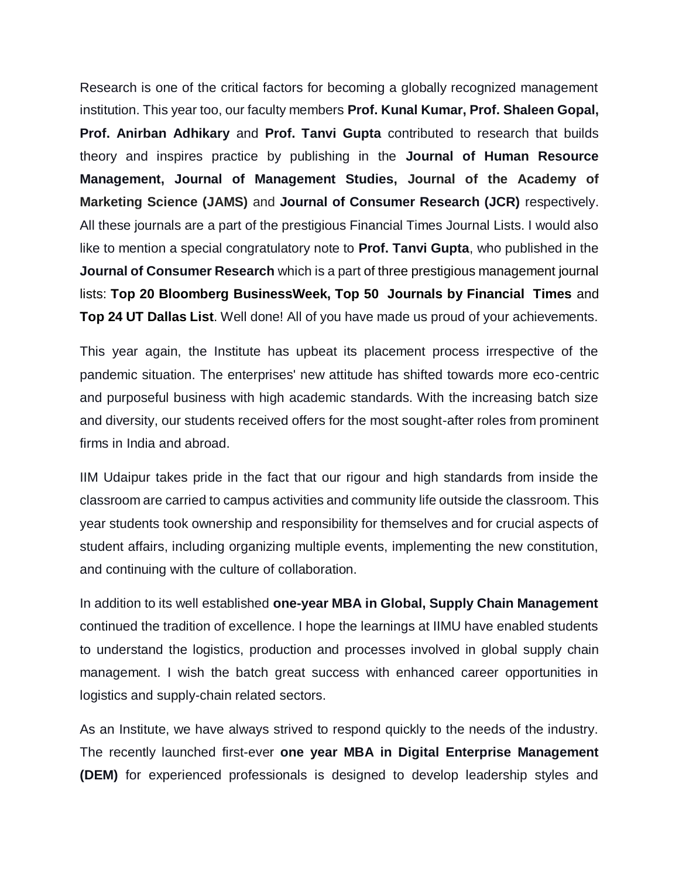Research is one of the critical factors for becoming a globally recognized management institution. This year too, our faculty members **Prof. Kunal Kumar, Prof. Shaleen Gopal, Prof. Anirban Adhikary** and **Prof. Tanvi Gupta** contributed to research that builds theory and inspires practice by publishing in the **Journal of Human Resource Management, Journal of Management Studies, Journal of the Academy of Marketing Science (JAMS)** and **Journal of Consumer Research (JCR)** respectively. All these journals are a part of the prestigious Financial Times Journal Lists. I would also like to mention a special congratulatory note to **Prof. Tanvi Gupta**, who published in the **Journal of Consumer Research** which is a part of three prestigious management journal lists: **Top 20 Bloomberg BusinessWeek, Top 50 Journals by Financial Times** and **Top 24 UT Dallas List**. Well done! All of you have made us proud of your achievements.

This year again, the Institute has upbeat its placement process irrespective of the pandemic situation. The enterprises' new attitude has shifted towards more eco-centric and purposeful business with high academic standards. With the increasing batch size and diversity, our students received offers for the most sought-after roles from prominent firms in India and abroad.

IIM Udaipur takes pride in the fact that our rigour and high standards from inside the classroom are carried to campus activities and community life outside the classroom. This year students took ownership and responsibility for themselves and for crucial aspects of student affairs, including organizing multiple events, implementing the new constitution, and continuing with the culture of collaboration.

In addition to its well established **one-year MBA in Global, Supply Chain Management**  continued the tradition of excellence. I hope the learnings at IIMU have enabled students to understand the logistics, production and processes involved in global supply chain management. I wish the batch great success with enhanced career opportunities in logistics and supply-chain related sectors.

As an Institute, we have always strived to respond quickly to the needs of the industry. The recently launched first-ever **one year MBA in Digital Enterprise Management (DEM)** for experienced professionals is designed to develop leadership styles and